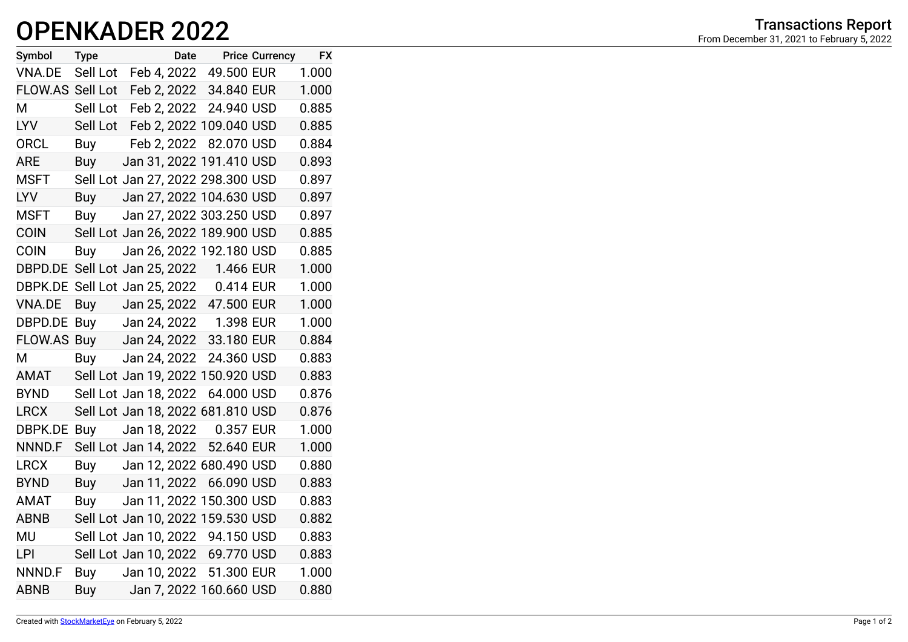## Transactions Report (Transactions Report) Transactions Report Transactions Report From December 31, 2021 to February 5, 2022

| Symbol                                  | Type             |                       | Date Price Currency               | <b>FX</b> |
|-----------------------------------------|------------------|-----------------------|-----------------------------------|-----------|
| VNA.DE                                  |                  |                       | Sell Lot Feb 4, 2022 49.500 EUR   | 1.000     |
| FLOW.AS Sell Lot                        |                  |                       | Feb 2, 2022 34.840 EUR            | 1.000     |
| M                                       |                  |                       | Sell Lot Feb 2, 2022 24.940 USD   | 0.885     |
| LYV                                     |                  |                       | Sell Lot Feb 2, 2022 109.040 USD  | 0.885     |
| ORCL                                    |                  | Buy Feb 2, 2022       | 82.070 USD                        | 0.884     |
| <b>ARE</b>                              |                  |                       | Buy Jan 31, 2022 191.410 USD      | 0.893     |
| <b>MSFT</b>                             |                  |                       | Sell Lot Jan 27, 2022 298.300 USD | 0.897     |
| LYV                                     | Buy              |                       | Jan 27, 2022 104.630 USD          | 0.897     |
| <b>MSFT</b>                             | Buy              |                       | Jan 27, 2022 303.250 USD          | 0.897     |
| <b>COIN</b>                             |                  |                       | Sell Lot Jan 26, 2022 189.900 USD | 0.885     |
| <b>COIN</b>                             | Buy              |                       | Jan 26, 2022 192.180 USD          | 0.885     |
| DBPD.DE Sell Lot Jan 25, 2022 1.466 EUR |                  |                       |                                   | 1.000     |
| DBPK.DE                                 |                  |                       | Sell Lot Jan 25, 2022 0.414 EUR   | 1.000     |
| <b>VNA.DE</b>                           |                  |                       | Buy Jan 25, 2022 47.500 EUR       | 1.000     |
| DBPD.DE                                 | Buy Jan 24, 2022 |                       | 1.398 EUR                         | 1.000     |
| FLOW.AS Buy Jan 24, 2022 33.180 EUR     |                  |                       |                                   | 0.884     |
| Μ                                       | Buy              | Jan 24, 2022          | 24.360 USD                        | 0.883     |
| AMAT                                    |                  |                       | Sell Lot Jan 19, 2022 150.920 USD | 0.883     |
| <b>BYND</b>                             |                  |                       | Sell Lot Jan 18, 2022 64.000 USD  | 0.876     |
| LRCX                                    |                  |                       | Sell Lot Jan 18, 2022 681.810 USD | 0.876     |
| DBPK.DE                                 |                  |                       | Buy Jan 18, 2022 0.357 EUR        | 1.000     |
| NNND.F                                  |                  | Sell Lot Jan 14, 2022 | 52.640 EUR                        | 1.000     |
| <b>LRCX</b>                             |                  |                       | Buy Jan 12, 2022 680.490 USD      | 0.880     |
| <b>BYND</b>                             |                  | Buy Jan 11, 2022      | 66.090 USD                        | 0.883     |
| AMAT                                    |                  |                       | Buy Jan 11, 2022 150.300 USD      | 0.883     |
| ABNB                                    |                  |                       | Sell Lot Jan 10, 2022 159.530 USD | 0.882     |
| <b>MU</b>                               |                  |                       | Sell Lot Jan 10, 2022 94.150 USD  | 0.883     |
| LPI                                     |                  |                       | Sell Lot Jan 10, 2022 69.770 USD  | 0.883     |
| NNND.F                                  | Buy              |                       | Jan 10, 2022 51.300 EUR           | 1.000     |
| <b>ABNB</b>                             | Buy              |                       | Jan 7, 2022 160.660 USD           | 0.880     |